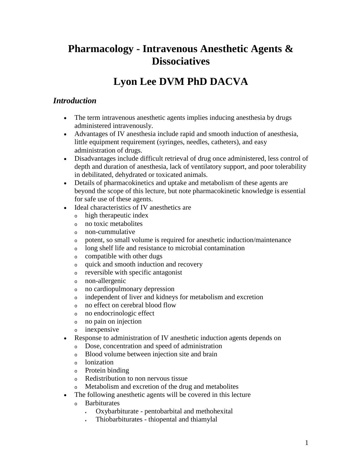# **Pharmacology - Intravenous Anesthetic Agents & Dissociatives**

# **Lyon Lee DVM PhD DACVA**

## *Introduction*

- The term intravenous anesthetic agents implies inducing anesthesia by drugs administered intravenously.
- Advantages of IV anesthesia include rapid and smooth induction of anesthesia, little equipment requirement (syringes, needles, catheters), and easy administration of drugs.
- Disadvantages include difficult retrieval of drug once administered, less control of depth and duration of anesthesia, lack of ventilatory support, and poor tolerability in debilitated, dehydrated or toxicated animals.
- Details of pharmacokinetics and uptake and metabolism of these agents are beyond the scope of this lecture, but note pharmacokinetic knowledge is essential for safe use of these agents.
- Ideal characteristics of IV anesthetics are
	- <sup>o</sup> high therapeutic index
	- <sup>o</sup> no toxic metabolites
	- <sup>o</sup> non-cummulative
	- <sup>o</sup> potent, so small volume is required for anesthetic induction/maintenance
	- <sup>o</sup> long shelf life and resistance to microbial contamination
	- <sup>o</sup> compatible with other dugs
	- <sup>o</sup> quick and smooth induction and recovery
	- <sup>o</sup> reversible with specific antagonist
	- <sup>o</sup> non-allergenic
	- <sup>o</sup> no cardiopulmonary depression
	- <sup>o</sup> independent of liver and kidneys for metabolism and excretion
	- <sup>o</sup> no effect on cerebral blood flow
	- <sup>o</sup> no endocrinologic effect
	- <sup>o</sup> no pain on injection
	- <sup>o</sup> inexpensive
- Response to administration of IV anesthetic induction agents depends on
	- <sup>o</sup> Dose, concentration and speed of administration
	- <sup>o</sup> Blood volume between injection site and brain
	- <sup>o</sup> lonization
	- <sup>o</sup> Protein binding
	- <sup>o</sup> Redistribution to non nervous tissue
	- <sup>o</sup> Metabolism and excretion of the drug and metabolites
- The following anesthetic agents will be covered in this lecture
	- <sup>o</sup> Barbiturates
		- Oxybarbiturate pentobarbital and methohexital
		- Thiobarbiturates thiopental and thiamylal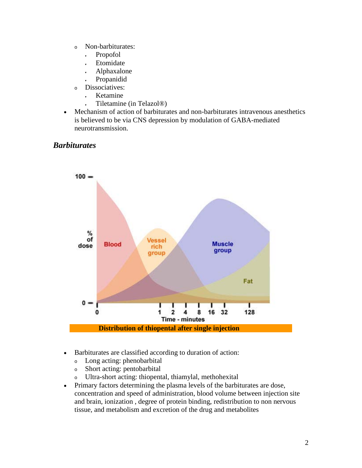- <sup>o</sup> Non-barbiturates:
	- , Propofol
	- **Etomidate**
	- Alphaxalone
	- Propanidid
- <sup>o</sup> Dissociatives:
	- Ketamine
	- Tiletamine (in Telazol®)
- Mechanism of action of barbiturates and non-barbiturates intravenous anesthetics is believed to be via CNS depression by modulation of GABA-mediated neurotransmission.

### *Barbiturates*



- Barbiturates are classified according to duration of action:
	- <sup>o</sup> Long acting: phenobarbital
	- <sup>o</sup> Short acting: pentobarbital
	- <sup>o</sup> Ultra-short acting: thiopental, thiamylal, methohexital
- Primary factors determining the plasma levels of the barbiturates are dose, concentration and speed of administration, blood volume between injection site and brain, ionization , degree of protein binding, redistribution to non nervous tissue, and metabolism and excretion of the drug and metabolites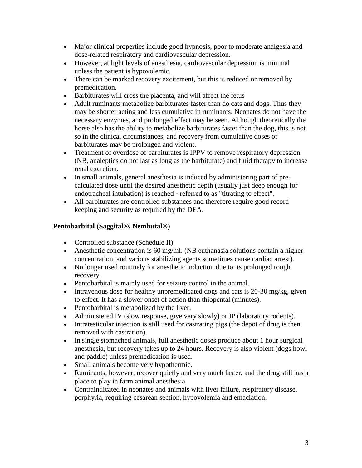- Major clinical properties include good hypnosis, poor to moderate analgesia and dose-related respiratory and cardiovascular depression.
- However, at light levels of anesthesia, cardiovascular depression is minimal unless the patient is hypovolemic.
- There can be marked recovery excitement, but this is reduced or removed by premedication.
- Barbiturates will cross the placenta, and will affect the fetus
- Adult ruminants metabolize barbiturates faster than do cats and dogs. Thus they may be shorter acting and less cumulative in ruminants. Neonates do not have the necessary enzymes, and prolonged effect may be seen. Although theoretically the horse also has the ability to metabolize barbiturates faster than the dog, this is not so in the clinical circumstances, and recovery from cumulative doses of barbiturates may be prolonged and violent.
- Treatment of overdose of barbiturates is IPPV to remove respiratory depression (NB, analeptics do not last as long as the barbiturate) and fluid therapy to increase renal excretion.
- In small animals, general anesthesia is induced by administering part of precalculated dose until the desired anesthetic depth (usually just deep enough for endotracheal intubation) is reached - referred to as "titrating to effect".
- All barbiturates are controlled substances and therefore require good record keeping and security as required by the DEA.

## **Pentobarbital (Saggital®, Nembutal®)**

- Controlled substance (Schedule II)
- Anesthetic concentration is 60 mg/ml. (NB euthanasia solutions contain a higher concentration, and various stabilizing agents sometimes cause cardiac arrest).
- No longer used routinely for anesthetic induction due to its prolonged rough recovery.
- Pentobarbital is mainly used for seizure control in the animal.
- Intravenous dose for healthy unpremedicated dogs and cats is  $20-30$  mg/kg, given to effect. It has a slower onset of action than thiopental (minutes).
- Pentobarbital is metabolized by the liver.
- Administered IV (slow response, give very slowly) or IP (laboratory rodents).
- Intratesticular injection is still used for castrating pigs (the depot of drug is then removed with castration).
- In single stomached animals, full anesthetic doses produce about 1 hour surgical anesthesia, but recovery takes up to 24 hours. Recovery is also violent (dogs howl and paddle) unless premedication is used.
- Small animals become very hypothermic.
- Ruminants, however, recover quietly and very much faster, and the drug still has a place to play in farm animal anesthesia.
- Contraindicated in neonates and animals with liver failure, respiratory disease, porphyria, requiring cesarean section, hypovolemia and emaciation.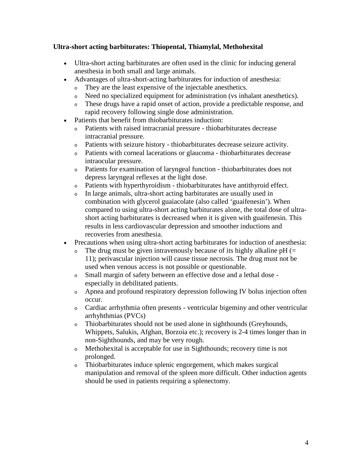#### **Ultra-short acting barbiturates: Thiopental, Thiamylal, Methohexital**

- Ultra-short acting barbiturates are often used in the clinic for inducing general anesthesia in both small and large animals.
- Advantages of ultra-short-acting barbiturates for induction of anesthesia:
	- <sup>o</sup> They are the least expensive of the injectable anesthetics.
	- <sup>o</sup> Need no specialized equipment for administration (vs inhalant anesthetics).
	- <sup>o</sup> These drugs have a rapid onset of action, provide a predictable response, and rapid recovery following single dose administration.
- Patients that benefit from thiobarbiturates induction:
	- <sup>o</sup> Patients with raised intracranial pressure thiobarbiturates decrease intracranial pressure.
	- <sup>o</sup> Patients with seizure history thiobarbiturates decrease seizure activity.
	- <sup>o</sup> Patients with corneal lacerations or glaucoma thiobarbiturates decrease intraocular pressure.
	- <sup>o</sup> Patients for examination of laryngeal function thiobarbiturates does not depress laryngeal reflexes at the light dose.
	- <sup>o</sup> Patients with hyperthyroidism thiobarbiturates have antithyroid effect.
	- <sup>o</sup> In large animals, ultra-short acting barbiturates are usually used in combination with glycerol guaiacolate (also called 'guaifenesin'). When compared to using ultra-short acting barbiturates alone, the total dose of ultrashort acting barbiturates is decreased when it is given with guaifenesin. This results in less cardiovascular depression and smoother inductions and recoveries from anesthesia.
- Precautions when using ultra-short acting barbiturates for induction of anesthesia:
	- $\circ$  The drug must be given intravenously because of its highly alkaline pH (= 11); perivascular injection will cause tissue necrosis. The drug must not be used when venous access is not possible or questionable.
	- <sup>o</sup> Small margin of safety between an effective dose and a lethal dose especially in debilitated patients.
	- <sup>o</sup> Apnea and profound respiratory depression following IV bolus injection often occur.
	- <sup>o</sup> Cardiac arrhythmia often presents [ventricular bigeminy](http://www.cvm.okstate.edu/courses/vmed5412/#bigem) and other [ventricular](http://www.cvm.okstate.edu/courses/vmed5412/#pvc)  [arrhyhthmias](http://www.cvm.okstate.edu/courses/vmed5412/#pvc) (PVCs)
	- <sup>o</sup> Thiobarbiturates should not be used alone in sighthounds (Greyhounds, Whippets, Salukis, Afghan, Borzoia etc.); recovery is 2-4 times longer than in non-Sighthounds, and may be very rough.
	- <sup>o</sup> Methohexital is acceptable for use in Sighthounds; recovery time is not prolonged.
	- <sup>o</sup> Thiobarbiturates induce splenic engorgement, which makes surgical manipulation and removal of the spleen more difficult. Other induction agents should be used in patients requiring a splenectomy.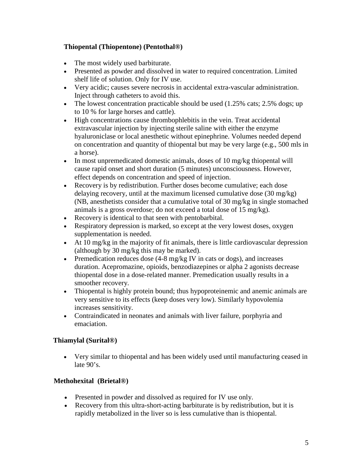#### **Thiopental (Thiopentone) (Pentothal®)**

- The most widely used barbiturate.
- Presented as powder and dissolved in water to required concentration. Limited shelf life of solution. Only for IV use.
- Very acidic; causes severe necrosis in accidental extra-vascular administration. Inject through catheters to avoid this.
- The lowest concentration practicable should be used (1.25% cats; 2.5% dogs; up to 10 % for large horses and cattle).
- High concentrations cause thrombophlebitis in the vein. Treat accidental extravascular injection by injecting sterile saline with either the enzyme hyaluroniclase or local anesthetic without epinephrine. Volumes needed depend on concentration and quantity of thiopental but may be very large (e.g., 500 mls in a horse).
- In most unpremedicated domestic animals, doses of 10 mg/kg thiopental will cause rapid onset and short duration (5 minutes) unconsciousness. However, effect depends on concentration and speed of injection.
- Recovery is by redistribution. Further doses become cumulative; each dose delaying recovery, until at the maximum licensed cumulative dose (30 mg/kg) (NB, anesthetists consider that a cumulative total of 30 mg/kg in single stomached animals is a gross overdose; do not exceed a total dose of 15 mg/kg).
- Recovery is identical to that seen with pentobarbital.
- Respiratory depression is marked, so except at the very lowest doses, oxygen supplementation is needed.
- At 10 mg/kg in the majority of fit animals, there is little cardiovascular depression (although by 30 mg/kg this may be marked).
- Premedication reduces dose  $(4-8 \text{ mg/kg} \text{ IV})$  in cats or dogs), and increases duration. Acepromazine, opioids, benzodiazepines or alpha 2 agonists decrease thiopental dose in a dose-related manner. Premedication usually results in a smoother recovery.
- Thiopental is highly protein bound; thus hypoproteinemic and anemic animals are very sensitive to its effects (keep doses very low). Similarly hypovolemia increases sensitivity.
- Contraindicated in neonates and animals with liver failure, porphyria and emaciation.

### **Thiamylal (Surital®)**

• Very similar to thiopental and has been widely used until manufacturing ceased in late 90's.

#### **Methohexital (Brietal®)**

- Presented in powder and dissolved as required for IV use only.
- Recovery from this ultra-short-acting barbiturate is by redistribution, but it is rapidly metabolized in the liver so is less cumulative than is thiopental.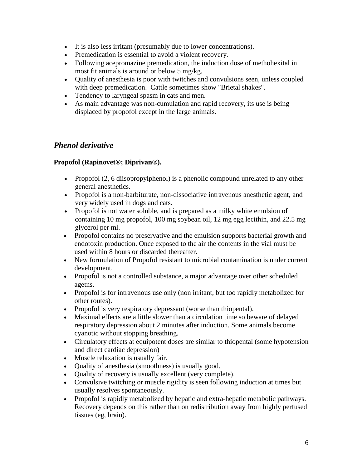- It is also less irritant (presumably due to lower concentrations).
- Premedication is essential to avoid a violent recovery.
- Following acepromazine premedication, the induction dose of methohexital in most fit animals is around or below 5 mg/kg.
- Quality of anesthesia is poor with twitches and convulsions seen, unless coupled with deep premedication. Cattle sometimes show "Brietal shakes".
- Tendency to laryngeal spasm in cats and men.
- As main advantage was non-cumulation and rapid recovery, its use is being displaced by propofol except in the large animals.

## *Phenol derivative*

#### **Propofol (Rapinovet®; Diprivan®).**

- Propofol  $(2, 6$  diisopropylphenol) is a phenolic compound unrelated to any other general anesthetics.
- Propofol is a non-barbiturate, non-dissociative intravenous anesthetic agent, and very widely used in dogs and cats.
- Propofol is not water soluble, and is prepared as a milky white emulsion of containing 10 mg propofol, 100 mg soybean oil, 12 mg egg lecithin, and 22.5 mg glycerol per ml.
- Propofol contains no preservative and the emulsion supports bacterial growth and endotoxin production. Once exposed to the air the contents in the vial must be used within 8 hours or discarded thereafter.
- New formulation of Propofol resistant to microbial contamination is under current development.
- Propofol is not a controlled substance, a major advantage over other scheduled agetns.
- Propofol is for intravenous use only (non irritant, but too rapidly metabolized for other routes).
- Propofol is very respiratory depressant (worse than thiopental).
- Maximal effects are a little slower than a circulation time so beware of delayed respiratory depression about 2 minutes after induction. Some animals become cyanotic without stopping breathing.
- Circulatory effects at equipotent doses are similar to thiopental (some hypotension and direct cardiac depression)
- Muscle relaxation is usually fair.
- Quality of anesthesia (smoothness) is usually good.
- Quality of recovery is usually excellent (very complete).
- Convulsive twitching or muscle rigidity is seen following induction at times but usually resolves spontaneously.
- Propofol is rapidly metabolized by hepatic and extra-hepatic metabolic pathways. Recovery depends on this rather than on redistribution away from highly perfused tissues (eg, brain).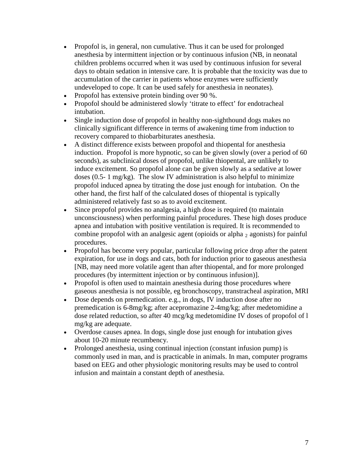- Propofol is, in general, non cumulative. Thus it can be used for prolonged anesthesia by intermittent injection or by continuous infusion (NB, in neonatal children problems occurred when it was used by continuous infusion for several days to obtain sedation in intensive care. It is probable that the toxicity was due to accumulation of the carrier in patients whose enzymes were sufficiently undeveloped to cope. It can be used safely for anesthesia in neonates).
- Propofol has extensive protein binding over 90 %.
- Propofol should be administered slowly 'titrate to effect' for endotracheal intubation.
- Single induction dose of propofol in healthy non-sighthound dogs makes no clinically significant difference in terms of awakening time from induction to recovery compared to thiobarbiturates anesthesia.
- A distinct difference exists between propofol and thiopental for anesthesia induction. Propofol is more hypnotic, so can be given slowly (over a period of 60 seconds), as subclinical doses of propofol, unlike thiopental, are unlikely to induce excitement. So propofol alone can be given slowly as a sedative at lower doses (0.5- 1 mg/kg). The slow IV administration is also helpful to minimize propofol induced apnea by titrating the dose just enough for intubation. On the other hand, the first half of the calculated doses of thiopental is typically administered relatively fast so as to avoid excitement.
- Since propofol provides no analgesia, a high dose is required (to maintain unconsciousness) when performing painful procedures. These high doses produce apnea and intubation with positive ventilation is required. It is recommended to combine propofol with an analgesic agent (opioids or alpha  $_2$  agonists) for painful procedures.
- Propofol has become very popular, particular following price drop after the patent expiration, for use in dogs and cats, both for induction prior to gaseous anesthesia [NB, may need more volatile agent than after thiopental, and for more prolonged procedures (by intermittent injection or by continuous infusion)].
- Propofol is often used to maintain anesthesia during those procedures where gaseous anesthesia is not possible, eg bronchoscopy, transtracheal aspiration, MRI
- Dose depends on premedication. e.g., in dogs, IV induction dose after no premedication is 6-8mg/kg; after acepromazine 2-4mg/kg; after medetomidine a dose related reduction, so after 40 mcg/kg medetomidine IV doses of propofol of l mg/kg are adequate.
- Overdose causes apnea. In dogs, single dose just enough for intubation gives about 10-20 minute recumbency.
- Prolonged anesthesia, using continual injection (constant infusion pump) is commonly used in man, and is practicable in animals. In man, computer programs based on EEG and other physiologic monitoring results may be used to control infusion and maintain a constant depth of anesthesia.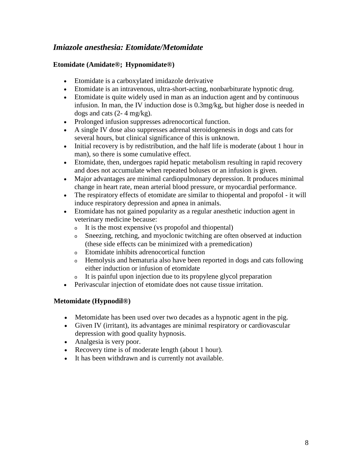# *Imiazole anesthesia: Etomidate/Metomidate*

#### **Etomidate (Amidate®; Hypnomidate®)**

- Etomidate is a carboxylated imidazole derivative
- Etomidate is an intravenous, ultra-short-acting, nonbarbiturate hypnotic drug.
- Etomidate is quite widely used in man as an induction agent and by continuous infusion. In man, the IV induction dose is 0.3mg/kg, but higher dose is needed in dogs and cats (2- 4 mg/kg).
- Prolonged infusion suppresses adrenocortical function.
- A single IV dose also suppresses adrenal steroidogenesis in dogs and cats for several hours, but clinical significance of this is unknown.
- Initial recovery is by redistribution, and the half life is moderate (about 1 hour in man), so there is some cumulative effect.
- Etomidate, then, undergoes rapid hepatic metabolism resulting in rapid recovery and does not accumulate when repeated boluses or an infusion is given.
- Major advantages are minimal cardiopulmonary depression. It produces minimal change in heart rate, mean arterial blood pressure, or myocardial performance.
- The respiratory effects of etomidate are similar to thiopental and propofol it will induce respiratory depression and apnea in animals.
- Etomidate has not gained popularity as a regular anesthetic induction agent in veterinary medicine because:
	- <sup>o</sup> It is the most expensive (vs propofol and thiopental)
	- <sup>o</sup> Sneezing, retching, and myoclonic twitching are often observed at induction (these side effects can be minimized with a premedication)
	- <sup>o</sup> Etomidate inhibits adrenocortical function
	- <sup>o</sup> Hemolysis and hematuria also have been reported in dogs and cats following either induction or infusion of etomidate
	- <sup>o</sup> It is painful upon injection due to its propylene glycol preparation
- Perivascular injection of etomidate does not cause tissue irritation.

### **Metomidate (Hypnodil®)**

- Metomidate has been used over two decades as a hypnotic agent in the pig.
- Given IV (irritant), its advantages are minimal respiratory or cardiovascular depression with good quality hypnosis.
- Analgesia is very poor.
- Recovery time is of moderate length (about 1 hour).
- It has been withdrawn and is currently not available.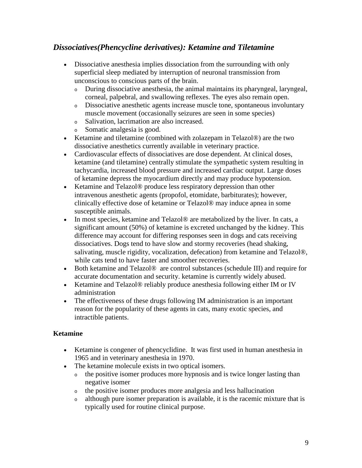# *Dissociatives(Phencycline derivatives): Ketamine and Tiletamine*

- Dissociative anesthesia implies dissociation from the surrounding with only superficial sleep mediated by interruption of neuronal transmission from unconscious to conscious parts of the brain.
	- <sup>o</sup> During dissociative anesthesia, the animal maintains its pharyngeal, laryngeal, corneal, palpebral, and swallowing reflexes. The eyes also remain open.
	- <sup>o</sup> Dissociative anesthetic agents increase muscle tone, spontaneous involuntary muscle movement (occasionally seizures are seen in some species)
	- <sup>o</sup> Salivation, lacrimation are also increased.
	- <sup>o</sup> Somatic analgesia is good.
- Ketamine and tiletamine (combined with zolazepam in Telazol®) are the two dissociative anesthetics currently available in veterinary practice.
- Cardiovascular effects of dissociatives are dose dependent. At clinical doses, ketamine (and tiletamine) centrally stimulate the sympathetic system resulting in tachycardia, increased blood pressure and increased cardiac output. Large doses of ketamine depress the myocardium directly and may produce hypotension.
- Ketamine and Telazol<sup>®</sup> produce less respiratory depression than other intravenous anesthetic agents (propofol, etomidate, barbiturates); however, clinically effective dose of ketamine or Telazol® may induce apnea in some susceptible animals.
- In most species, ketamine and Telazol<sup>®</sup> are metabolized by the liver. In cats, a significant amount (50%) of ketamine is excreted unchanged by the kidney. This difference may account for differing responses seen in dogs and cats receiving dissociatives. Dogs tend to have slow and stormy recoveries (head shaking, salivating, muscle rigidity, vocalization, defecation) from ketamine and Telazol®, while cats tend to have faster and smoother recoveries.
- Both ketamine and Telazol<sup>®</sup> are control substances (schedule III) and require for accurate documentation and security. ketamine is currently widely abused.
- Ketamine and Telazol® reliably produce anesthesia following either IM or IV administration
- The effectiveness of these drugs following IM administration is an important reason for the popularity of these agents in cats, many exotic species, and intractible patients.

#### **Ketamine**

- Ketamine is congener of phencyclidine. It was first used in human anesthesia in 1965 and in veterinary anesthesia in 1970.
- The ketamine molecule exists in two optical isomers.
	- <sup>o</sup> the positive isomer produces more hypnosis and is twice longer lasting than negative isomer
	- <sup>o</sup> the positive isomer produces more analgesia and less hallucination
	- <sup>o</sup> although pure isomer preparation is available, it is the racemic mixture that is typically used for routine clinical purpose.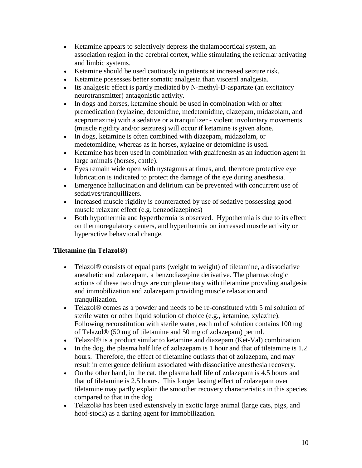- Ketamine appears to selectively depress the thalamocortical system, an association region in the cerebral cortex, while stimulating the reticular activating and limbic systems.
- Ketamine should be used cautiously in patients at increased seizure risk.
- Ketamine possesses better somatic analgesia than visceral analgesia.
- Its analgesic effect is partly mediated by N-methyl-D-aspartate (an excitatory neurotransmitter) antagonistic activity.
- In dogs and horses, ketamine should be used in combination with or after premedication [\(xylazine, detomidine, medetomidine,](http://www.cvm.okstate.edu/courses/vmed5412/lect05.asp#Alpha2) [diazepam, midazolam,](http://www.cvm.okstate.edu/courses/vmed5412/lect05.asp#MinorTranq) and [acepromazine\)](http://www.cvm.okstate.edu/courses/vmed5412/lect05.asp#MajorTranq) with a sedative or a tranquilizer - violent involuntary movements (muscle rigidity and/or seizures) will occur if ketamine is given alone.
- In dogs, ketamine is often combined with [diazepam, midazolam,](http://www.cvm.okstate.edu/courses/vmed5412/lect05.asp#MinorTranq) or [medetomidine,](http://www.cvm.okstate.edu/courses/vmed5412/lect05.asp#Alpha2) whereas as in horses, [xylazine](http://www.cvm.okstate.edu/courses/vmed5412/lect05.asp#Alpha2) or [detomidine](http://www.cvm.okstate.edu/courses/vmed5412/lect05.asp#Alpha2) is used.
- Ketamine has been used in combination with guaifenesin as an induction agent in large animals (horses, cattle).
- Eyes remain wide open with nystagmus at times, and, therefore protective eye lubrication is indicated to protect the damage of the eye during anesthesia.
- Emergence hallucination and delirium can be prevented with concurrent use of sedatives/tranquillizers.
- Increased muscle rigidity is counteracted by use of sedative possessing good muscle relaxant effect (e.g. benzodiazepines)
- Both hypothermia and hyperthermia is observed. Hypothermia is due to its effect on thermoregulatory centers, and hyperthermia on increased muscle activity or hyperactive behavioral change.

### **Tiletamine (in Telazol®)**

- Telazol<sup>®</sup> consists of equal parts (weight to weight) of tiletamine, a dissociative anesthetic and [zolazepam,](http://www.cvm.okstate.edu/courses/vmed5412/lect05.asp#MinorTranq) a [benzodiazepine](http://www.cvm.okstate.edu/courses/vmed5412/lect05.asp#MinorTranq) derivative. The pharmacologic actions of these two drugs are complementary with tiletamine providing analgesia and immobilization and [zolazepam](http://www.cvm.okstate.edu/courses/vmed5412/lect05.asp#MinorTranq) providing muscle relaxation and tranquilization.
- Telazol® comes as a powder and needs to be re-constituted with 5 ml solution of sterile water or other liquid solution of choice (e.g., ketamine, xylazine). Following reconstitution with sterile water, each ml of solution contains 100 mg of Telazol® (50 mg of tiletamine and 50 mg of [zolazepam\)](http://www.cvm.okstate.edu/courses/vmed5412/lect05.asp#MinorTranq) per ml.
- Telazol<sup>®</sup> is a product similar to ketamine and [diazepam](http://www.cvm.okstate.edu/courses/vmed5412/lect05.asp#MinorTranq) (Ket-Val) combination.
- In the dog, the plasma half life of zolazepam is 1 hour and that of tiletamine is 1.2 hours. Therefore, the effect of tiletamine outlasts that of zolazepam, and may result in emergence delirium associated with dissociative anesthesia recovery.
- On the other hand, in the cat, the plasma half life of zolazepam is 4.5 hours and that of tiletamine is 2.5 hours. This longer lasting effect of zolazepam over tiletamine may partly explain the smoother recovery characteristics in this species compared to that in the dog.
- Telazol<sup>®</sup> has been used extensively in exotic large animal (large cats, pigs, and hoof-stock) as a darting agent for immobilization.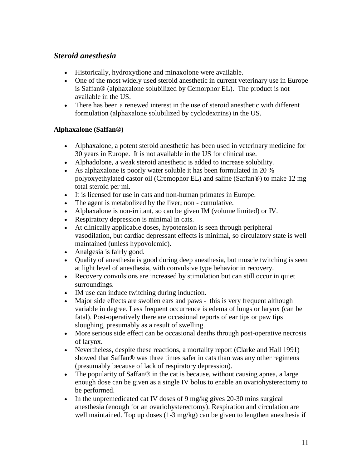# *Steroid anesthesia*

- Historically, hydroxydione and minaxolone were available.
- One of the most widely used steroid anesthetic in current veterinary use in Europe is Saffan® (alphaxalone solubilized by Cemorphor EL). The product is not available in the US.
- There has been a renewed interest in the use of steroid anesthetic with different formulation (alphaxalone solubilized by cyclodextrins) in the US.

#### **Alphaxalone (Saffan®)**

- Alphaxalone, a potent steroid anesthetic has been used in veterinary medicine for 30 years in Europe. It is not available in the US for clinical use.
- Alphadolone, a weak steroid anesthetic is added to increase solubility.
- As alphaxalone is poorly water soluble it has been formulated in 20 % polyoxyethylated castor oil (Cremophor EL) and saline (Saffan®) to make 12 mg total steroid per ml.
- It is licensed for use in cats and non-human primates in Europe.
- The agent is metabolized by the liver; non cumulative.
- Alphaxalone is non-irritant, so can be given IM (volume limited) or IV.
- Respiratory depression is minimal in cats.
- At clinically applicable doses, hypotension is seen through peripheral vasodilation, but cardiac depressant effects is minimal, so circulatory state is well maintained (unless hypovolemic).
- Analgesia is fairly good.
- Quality of anesthesia is good during deep anesthesia, but muscle twitching is seen at light level of anesthesia, with convulsive type behavior in recovery.
- Recovery convulsions are increased by stimulation but can still occur in quiet surroundings.
- IM use can induce twitching during induction.
- Major side effects are swollen ears and paws this is very frequent although variable in degree. Less frequent occurrence is edema of lungs or larynx (can be fatal). Post-operatively there are occasional reports of ear tips or paw tips sloughing, presumably as a result of swelling.
- More serious side effect can be occasional deaths through post-operative necrosis of larynx.
- Nevertheless, despite these reactions, a mortality report (Clarke and Hall 1991) showed that Saffan® was three times safer in cats than was any other regimens (presumably because of lack of respiratory depression).
- The popularity of Saffan<sup>®</sup> in the cat is because, without causing apnea, a large enough dose can be given as a single IV bolus to enable an ovariohysterectomy to be performed.
- In the unpremedicated cat IV doses of 9 mg/kg gives 20-30 mins surgical anesthesia (enough for an ovariohysterectomy). Respiration and circulation are well maintained. Top up doses (1-3 mg/kg) can be given to lengthen anesthesia if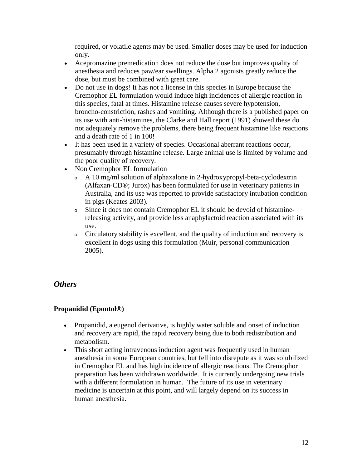required, or volatile agents may be used. Smaller doses may be used for induction only.

- Acepromazine premedication does not reduce the dose but improves quality of anesthesia and reduces paw/ear swellings. Alpha 2 agonists greatly reduce the dose, but must be combined with great care.
- Do not use in dogs! It has not a license in this species in Europe because the Cremophor EL formulation would induce high incidences of allergic reaction in this species, fatal at times. Histamine release causes severe hypotension, broncho-constriction, rashes and vomiting. Although there is a published paper on its use with anti-histamines, the Clarke and Hall report (1991) showed these do not adequately remove the problems, there being frequent histamine like reactions and a death rate of 1 in 100!
- It has been used in a variety of species. Occasional aberrant reactions occur, presumably through histamine release. Large animal use is limited by volume and the poor quality of recovery.
- Non Cremophor EL formulation
	- <sup>o</sup> A 10 mg/ml solution of alphaxalone in 2-hydroxypropyl-beta-cyclodextrin (Alfaxan-CD®; Jurox) has been formulated for use in veterinary patients in Australia, and its use was reported to provide satisfactory intubation condition in pigs (Keates 2003).
	- <sup>o</sup> Since it does not contain Cremophor EL it should be devoid of histaminereleasing activity, and provide less anaphylactoid reaction associated with its use.
	- <sup>o</sup> Circulatory stability is excellent, and the quality of induction and recovery is excellent in dogs using this formulation (Muir, personal communication 2005).

## *Others*

### **Propanidid (Epontol®)**

- Propanidid, a eugenol derivative, is highly water soluble and onset of induction and recovery are rapid, the rapid recovery being due to both redistribution and metabolism.
- This short acting intravenous induction agent was frequently used in human anesthesia in some European countries, but fell into disrepute as it was solubilized in Cremophor EL and has high incidence of allergic reactions. The Cremophor preparation has been withdrawn worldwide. It is currently undergoing new trials with a different formulation in human. The future of its use in veterinary medicine is uncertain at this point, and will largely depend on its success in human anesthesia.